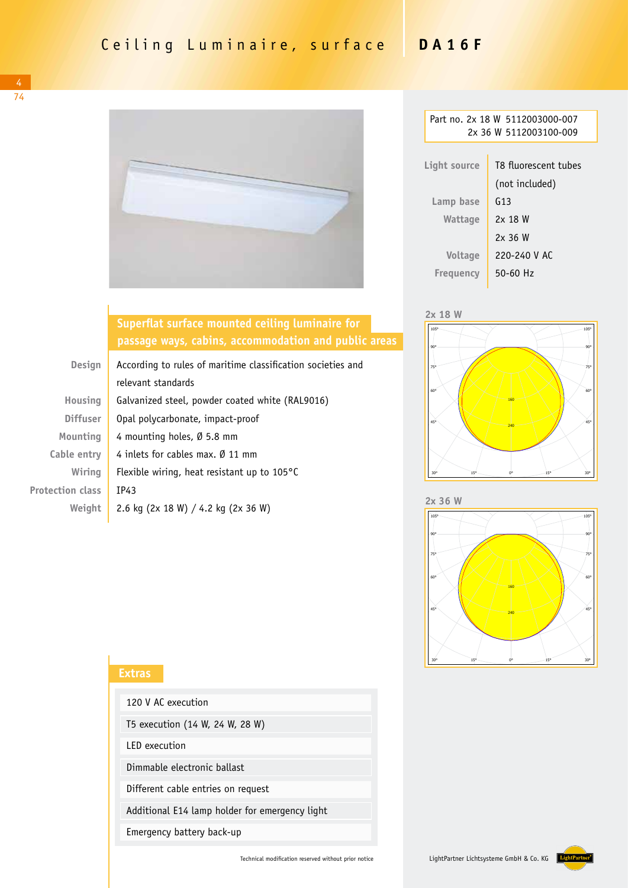

| Part no. 2x 18 W 5112003000-007<br>2x 36 W 5112003100-009 |                      |  |  |
|-----------------------------------------------------------|----------------------|--|--|
|                                                           |                      |  |  |
|                                                           |                      |  |  |
| Light source                                              | T8 fluorescent tubes |  |  |
|                                                           | (not included)       |  |  |
| Lamp base                                                 | G13                  |  |  |
| Wattage                                                   | 2x 18 W              |  |  |
|                                                           | 2x36W                |  |  |
| <b>Voltage</b>                                            | 220-240 V AC         |  |  |
| Freguency                                                 | $50 - 60$ Hz         |  |  |
|                                                           |                      |  |  |





Leuchte: LightPartner GmbH & Co. KG 5112003000-xxx DA16F Lampen: 2 x Leuchtstoff **2x 36 W**



## **Superflat surface mounted ceiling luminaire for passage ways, cabins, accommodation and public areas**

| <b>Design</b>           | According to rules of maritime classification societies and |  |
|-------------------------|-------------------------------------------------------------|--|
|                         | relevant standards                                          |  |
| <b>Housing</b>          | Galvanized steel, powder coated white (RAL9016)             |  |
| <b>Diffuser</b>         | Opal polycarbonate, impact-proof                            |  |
| Mounting                | 4 mounting holes, Ø 5.8 mm                                  |  |
| Cable entry             | 4 inlets for cables max, $\emptyset$ 11 mm                  |  |
| Wiring                  | Flexible wiring, heat resistant up to $105^{\circ}$ C       |  |
| <b>Protection class</b> | IP43                                                        |  |
| Weight                  | 2.6 kg (2x 18 W) / 4.2 kg (2x 36 W)                         |  |

| <b>Extras</b>                                  |                                 |
|------------------------------------------------|---------------------------------|
|                                                | 120 V AC execution              |
|                                                | T5 execution (14 W, 24 W, 28 W) |
| LED execution                                  |                                 |
|                                                | Dimmable electronic ballast     |
| Different cable entries on request             |                                 |
| Additional E14 lamp holder for emergency light |                                 |
|                                                | Emergency battery back-up       |